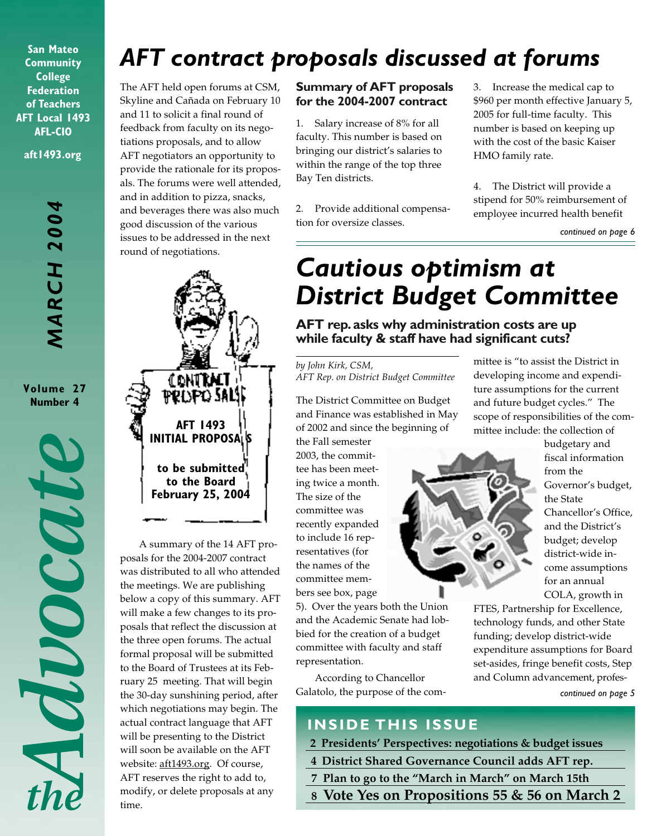**San Mateo Community College Federation of Teachers AFT Local 1493 AFL-CIO aft1493.org**

> **MARCH 2004** *MARCH 2004*

**Volume 27 Number 4**

MOOCOUTE

# *AFT contract proposals discussed at forums*

The AFT held open forums at CSM, Skyline and Cañada on February 10 and 11 to solicit a final round of feedback from faculty on its negotiations proposals, and to allow AFT negotiators an opportunity to provide the rationale for its proposals. The forums were well attended, and in addition to pizza, snacks, and beverages there was also much good discussion of the various issues to be addressed in the next round of negotiations.



A summary of the 14 AFT proposals for the 2004-2007 contract was distributed to all who attended the meetings. We are publishing below a copy of this summary. AFT will make a few changes to its proposals that reflect the discussion at the three open forums. The actual formal proposal will be submitted to the Board of Trustees at its February 25 meeting. That will begin the 30-day sunshining period, after which negotiations may begin. The actual contract language that AFT will be presenting to the District will soon be available on the AFT website: aft1493.org. Of course, AFT reserves the right to add to, modify, or delete proposals at any time.

#### **Summary of AFT proposals for the 2004-2007 contract**

1. Salary increase of 8% for all faculty. This number is based on bringing our district's salaries to within the range of the top three Bay Ten districts.

2. Provide additional compensation for oversize classes.

3. Increase the medical cap to \$960 per month effective January 5, 2005 for full-time faculty. This number is based on keeping up with the cost of the basic Kaiser HMO family rate.

4. The District will provide a stipend for 50% reimbursement of employee incurred health benefit

*continued on page 6*

# *Cautious optimism at District Budget Committee*

**AFT rep. asks why administration costs are up while faculty & staff have had significant cuts?**

*by John Kirk, CSM, AFT Rep. on District Budget Committee*

The District Committee on Budget and Finance was established in May of 2002 and since the beginning of

the Fall semester 2003, the committee has been meeting twice a month. The size of the committee was recently expanded to include 16 representatives (for the names of the committee members see box, page

5). Over the years both the Union and the Academic Senate had lobbied for the creation of a budget committee with faculty and staff representation.

According to Chancellor Galatolo, the purpose of the committee is "to assist the District in developing income and expenditure assumptions for the current and future budget cycles." The scope of responsibilities of the committee include: the collection of



budgetary and fiscal information from the Governor's budget, the State Chancellor's Office, and the District's budget; develop district-wide income assumptions for an annual COLA, growth in

FTES, Partnership for Excellence, technology funds, and other State funding; develop district-wide expenditure assumptions for Board set-asides, fringe benefit costs, Step and Column advancement, profes-

*continued on page 5*

# **INSIDE THIS ISSUE**

- **2 Presidents' Perspectives: negotiations & budget issues**
- **4 District Shared Governance Council adds AFT rep.**
- **7 Plan to go to the "March in March" on March 15th**
- **8 Vote Yes on Propositions 55 & 56 on March 2**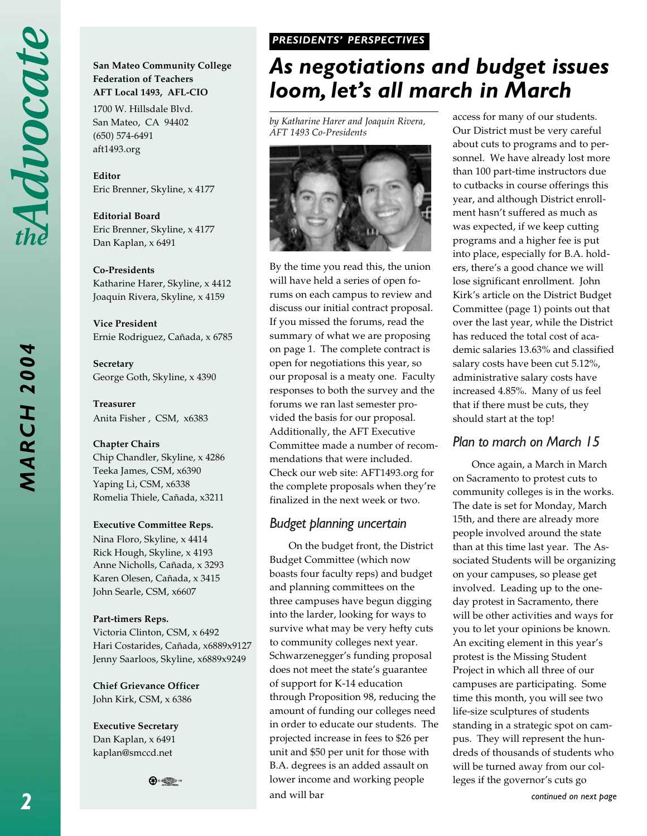*MARCH 2004*

**MARCH 2004** 

#### **San Mateo Community College Federation of Teachers AFT Local 1493, AFL-CIO**

1700 W. Hillsdale Blvd. San Mateo, CA 94402 (650) 574-6491 aft1493.org

**Editor** Eric Brenner, Skyline, x 4177

**Editorial Board** Eric Brenner, Skyline, x 4177 Dan Kaplan, x 6491

#### **Co-Presidents**

Katharine Harer, Skyline, x 4412 Joaquin Rivera, Skyline, x 4159

**Vice President** Ernie Rodriguez, Cañada, x 6785

**Secretary** George Goth, Skyline, x 4390

**Treasurer** Anita Fisher , CSM, x6383

#### **Chapter Chairs**

Chip Chandler, Skyline, x 4286 Teeka James, CSM, x6390 Yaping Li, CSM, x6338 Romelia Thiele, Cañada, x3211

#### **Executive Committee Reps.**

Nina Floro, Skyline, x 4414 Rick Hough, Skyline, x 4193 Anne Nicholls, Cañada, x 3293 Karen Olesen, Cañada, x 3415 John Searle, CSM, x6607

#### **Part-timers Reps.**

Victoria Clinton, CSM, x 6492 Hari Costarides, Cañada, x6889x9127 Jenny Saarloos, Skyline, x6889x9249

**Chief Grievance Officer** John Kirk, CSM, x 6386

**Executive Secretary** Dan Kaplan, x 6491 kaplan@smccd.net

 $\bigoplus_{i\in\mathbb{Z}}\mathbb{Z}_i$ 

#### *PRESIDENTS' PERSPECTIVES PRESIDENTS' PERSPECTIVES*

# *As negotiations and budget issues loom, let's all march in March*

*by Katharine Harer and Joaquin Rivera, AFT 1493 Co-Presidents*



By the time you read this, the union will have held a series of open forums on each campus to review and discuss our initial contract proposal. If you missed the forums, read the summary of what we are proposing on page 1. The complete contract is open for negotiations this year, so our proposal is a meaty one. Faculty responses to both the survey and the forums we ran last semester provided the basis for our proposal. Additionally, the AFT Executive Committee made a number of recommendations that were included. Check our web site: AFT1493.org for the complete proposals when they're finalized in the next week or two.

#### *Budget planning uncertain*

On the budget front, the District Budget Committee (which now boasts four faculty reps) and budget and planning committees on the three campuses have begun digging into the larder, looking for ways to survive what may be very hefty cuts to community colleges next year. Schwarzenegger's funding proposal does not meet the state's guarantee of support for K-14 education through Proposition 98, reducing the amount of funding our colleges need in order to educate our students. The projected increase in fees to \$26 per unit and \$50 per unit for those with B.A. degrees is an added assault on lower income and working people and will bar

access for many of our students. Our District must be very careful about cuts to programs and to personnel. We have already lost more than 100 part-time instructors due to cutbacks in course offerings this year, and although District enrollment hasn't suffered as much as was expected, if we keep cutting programs and a higher fee is put into place, especially for B.A. holders, there's a good chance we will lose significant enrollment. John Kirk's article on the District Budget Committee (page 1) points out that over the last year, while the District has reduced the total cost of academic salaries 13.63% and classified salary costs have been cut 5.12%, administrative salary costs have increased 4.85%. Many of us feel that if there must be cuts, they should start at the top!

## *Plan to march on March 15*

Once again, a March in March on Sacramento to protest cuts to community colleges is in the works. The date is set for Monday, March 15th, and there are already more people involved around the state than at this time last year. The Associated Students will be organizing on your campuses, so please get involved. Leading up to the oneday protest in Sacramento, there will be other activities and ways for you to let your opinions be known. An exciting element in this year's protest is the Missing Student Project in which all three of our campuses are participating. Some time this month, you will see two life-size sculptures of students standing in a strategic spot on campus. They will represent the hundreds of thousands of students who will be turned away from our colleges if the governor's cuts go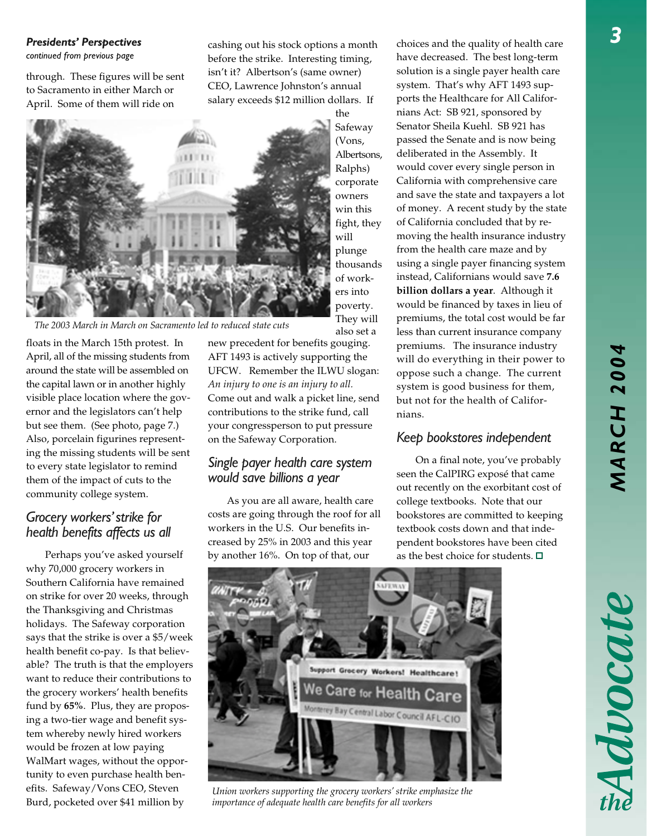# *MARCH 2004* **MARCH 2004**

#### *Presidents' Perspectives*

*continued from previous page*

through. These figures will be sent to Sacramento in either March or April. Some of them will ride on

cashing out his stock options a month before the strike. Interesting timing, isn't it? Albertson's (same owner) CEO, Lawrence Johnston's annual salary exceeds \$12 million dollars. If



The 2003 March in March on Sacramento led to reduced state cuts

floats in the March 15th protest. In April, all of the missing students from around the state will be assembled on the capital lawn or in another highly visible place location where the governor and the legislators can't help but see them. (See photo, page 7.) Also, porcelain figurines representing the missing students will be sent to every state legislator to remind them of the impact of cuts to the community college system.

## *Grocery workers' strike for health benefits affects us all*

Perhaps you've asked yourself why 70,000 grocery workers in Southern California have remained on strike for over 20 weeks, through the Thanksgiving and Christmas holidays. The Safeway corporation says that the strike is over a \$5/week health benefit co-pay. Is that believable? The truth is that the employers want to reduce their contributions to the grocery workers' health benefits fund by **65%**. Plus, they are proposing a two-tier wage and benefit system whereby newly hired workers would be frozen at low paying WalMart wages, without the opportunity to even purchase health benefits. Safeway/Vons CEO, Steven Burd, pocketed over \$41 million by

new precedent for benefits gouging. AFT 1493 is actively supporting the UFCW. Remember the ILWU slogan: *An injury to one is an injury to all.* Come out and walk a picket line, send contributions to the strike fund, call your congressperson to put pressure on the Safeway Corporation.

## *Single payer health care system would save billions a year*

As you are all aware, health care costs are going through the roof for all workers in the U.S. Our benefits increased by 25% in 2003 and this year by another 16%. On top of that, our

choices and the quality of health care have decreased. The best long-term solution is a single payer health care system. That's why AFT 1493 supports the Healthcare for All Californians Act: SB 921, sponsored by Senator Sheila Kuehl. SB 921 has passed the Senate and is now being deliberated in the Assembly. It would cover every single person in California with comprehensive care and save the state and taxpayers a lot of money. A recent study by the state of California concluded that by removing the health insurance industry from the health care maze and by using a single payer financing system instead, Californians would save **7.6 billion dollars a year**. Although it would be financed by taxes in lieu of premiums, the total cost would be far less than current insurance company premiums. The insurance industry will do everything in their power to oppose such a change. The current system is good business for them, but not for the health of Californians.

## *Keep bookstores independent*

On a final note, you've probably seen the CalPIRG exposé that came out recently on the exorbitant cost of college textbooks. Note that our bookstores are committed to keeping textbook costs down and that independent bookstores have been cited as the best choice for students.  $\Box$ 



also set a

*Union workers supporting the grocery workers' strike emphasize the importance of adequate health care benefits for all workers*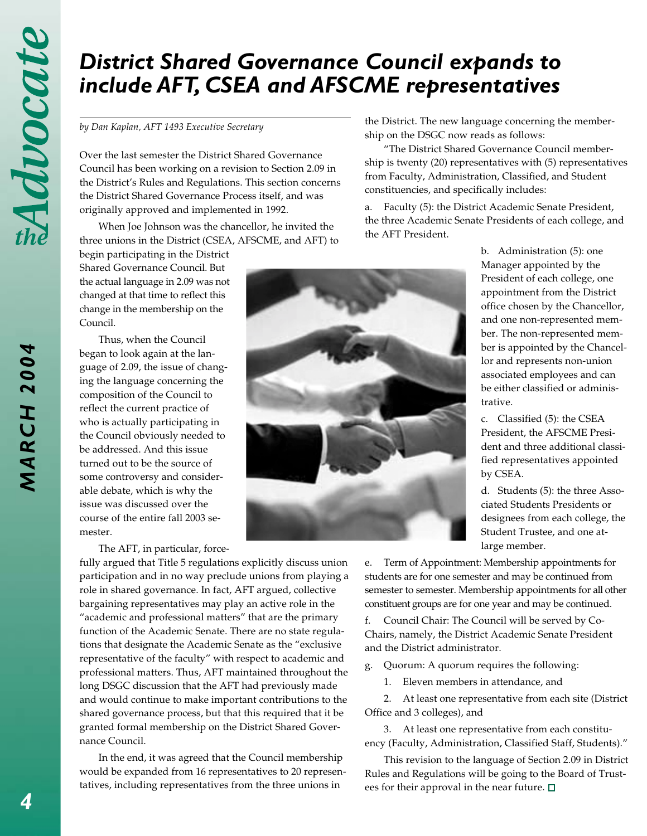*MARCH 2004*

**MARCH 2004** 

# *District Shared Governance Council expands to include AFT, CSEA and AFSCME representatives*

#### *by Dan Kaplan, AFT 1493 Executive Secretary*

Over the last semester the District Shared Governance Council has been working on a revision to Section 2.09 in the District's Rules and Regulations. This section concerns the District Shared Governance Process itself, and was originally approved and implemented in 1992.

When Joe Johnson was the chancellor, he invited the three unions in the District (CSEA, AFSCME, and AFT) to

begin participating in the District Shared Governance Council. But the actual language in 2.09 was not changed at that time to reflect this change in the membership on the Council.

Thus, when the Council began to look again at the language of 2.09, the issue of changing the language concerning the composition of the Council to reflect the current practice of who is actually participating in the Council obviously needed to be addressed. And this issue turned out to be the source of some controversy and considerable debate, which is why the issue was discussed over the course of the entire fall 2003 semester.

The AFT, in particular, force-

fully argued that Title 5 regulations explicitly discuss union participation and in no way preclude unions from playing a role in shared governance. In fact, AFT argued, collective bargaining representatives may play an active role in the "academic and professional matters" that are the primary function of the Academic Senate. There are no state regulations that designate the Academic Senate as the "exclusive representative of the faculty" with respect to academic and professional matters. Thus, AFT maintained throughout the long DSGC discussion that the AFT had previously made and would continue to make important contributions to the shared governance process, but that this required that it be granted formal membership on the District Shared Governance Council.

In the end, it was agreed that the Council membership would be expanded from 16 representatives to 20 representatives, including representatives from the three unions in

the District. The new language concerning the membership on the DSGC now reads as follows:

"The District Shared Governance Council membership is twenty (20) representatives with (5) representatives from Faculty, Administration, Classified, and Student constituencies, and specifically includes:

a. Faculty (5): the District Academic Senate President, the three Academic Senate Presidents of each college, and the AFT President.

> b. Administration (5): one Manager appointed by the President of each college, one appointment from the District office chosen by the Chancellor, and one non-represented member. The non-represented member is appointed by the Chancellor and represents non-union associated employees and can be either classified or administrative.

c. Classified (5): the CSEA President, the AFSCME President and three additional classified representatives appointed by CSEA.

d. Students (5): the three Associated Students Presidents or designees from each college, the Student Trustee, and one atlarge member.

e. Term of Appointment: Membership appointments for students are for one semester and may be continued from semester to semester. Membership appointments for all other constituent groups are for one year and may be continued.

f. Council Chair: The Council will be served by Co-Chairs, namely, the District Academic Senate President and the District administrator.

g. Quorum: A quorum requires the following:

1. Eleven members in attendance, and

2. At least one representative from each site (District Office and 3 colleges), and

3. At least one representative from each constituency (Faculty, Administration, Classified Staff, Students)."

This revision to the language of Section 2.09 in District Rules and Regulations will be going to the Board of Trustees for their approval in the near future.  $\square$ 

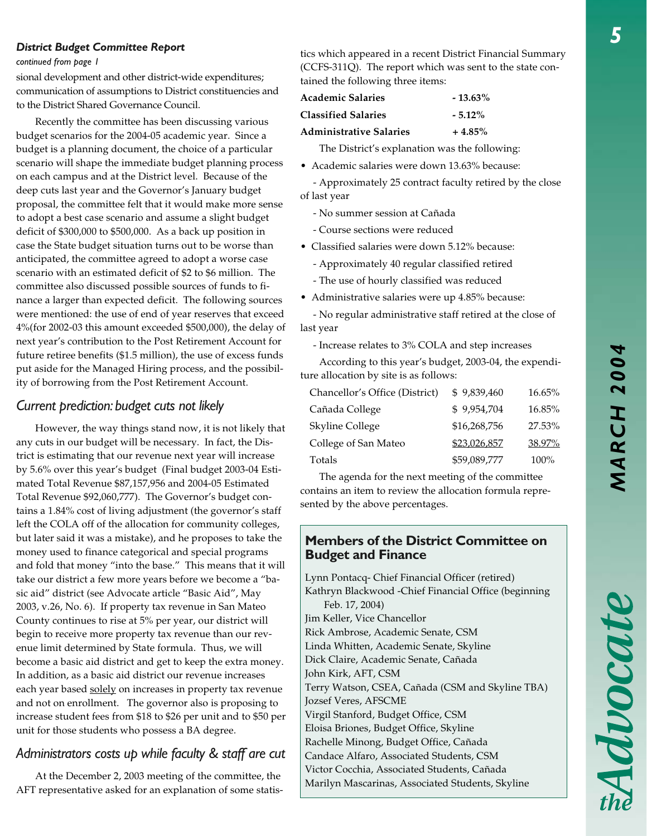#### *District Budget Committee Report*

#### *continued from page 1*

sional development and other district-wide expenditures; communication of assumptions to District constituencies and to the District Shared Governance Council.

Recently the committee has been discussing various budget scenarios for the 2004-05 academic year. Since a budget is a planning document, the choice of a particular scenario will shape the immediate budget planning process on each campus and at the District level. Because of the deep cuts last year and the Governor's January budget proposal, the committee felt that it would make more sense to adopt a best case scenario and assume a slight budget deficit of \$300,000 to \$500,000. As a back up position in case the State budget situation turns out to be worse than anticipated, the committee agreed to adopt a worse case scenario with an estimated deficit of \$2 to \$6 million. The committee also discussed possible sources of funds to finance a larger than expected deficit. The following sources were mentioned: the use of end of year reserves that exceed 4%(for 2002-03 this amount exceeded \$500,000), the delay of next year's contribution to the Post Retirement Account for future retiree benefits (\$1.5 million), the use of excess funds put aside for the Managed Hiring process, and the possibility of borrowing from the Post Retirement Account.

## *Current prediction: budget cuts not likely*

However, the way things stand now, it is not likely that any cuts in our budget will be necessary. In fact, the District is estimating that our revenue next year will increase by 5.6% over this year's budget (Final budget 2003-04 Estimated Total Revenue \$87,157,956 and 2004-05 Estimated Total Revenue \$92,060,777). The Governor's budget contains a 1.84% cost of living adjustment (the governor's staff left the COLA off of the allocation for community colleges, but later said it was a mistake), and he proposes to take the money used to finance categorical and special programs and fold that money "into the base." This means that it will take our district a few more years before we become a "basic aid" district (see Advocate article "Basic Aid", May 2003, v.26, No. 6). If property tax revenue in San Mateo County continues to rise at 5% per year, our district will begin to receive more property tax revenue than our revenue limit determined by State formula. Thus, we will become a basic aid district and get to keep the extra money. In addition, as a basic aid district our revenue increases each year based solely on increases in property tax revenue and not on enrollment. The governor also is proposing to increase student fees from \$18 to \$26 per unit and to \$50 per unit for those students who possess a BA degree.

## *Administrators costs up while faculty & staff are cut*

At the December 2, 2003 meeting of the committee, the AFT representative asked for an explanation of some statistics which appeared in a recent District Financial Summary (CCFS-311Q). The report which was sent to the state contained the following three items:

| <b>Academic Salaries</b>   | $-13.63\%$ |
|----------------------------|------------|
| <b>Classified Salaries</b> | $-5.12\%$  |
| Administrative Salaries    | $+4.85%$   |

The District's explanation was the following:

• Academic salaries were down 13.63% because:

 - Approximately 25 contract faculty retired by the close of last year

- No summer session at Cañada

- Course sections were reduced

• Classified salaries were down 5.12% because:

- Approximately 40 regular classified retired
- The use of hourly classified was reduced
- Administrative salaries were up 4.85% because:

 - No regular administrative staff retired at the close of last year

- Increase relates to 3% COLA and step increases

According to this year's budget, 2003-04, the expenditure allocation by site is as follows:

| Chancellor's Office (District) | \$9,839,460  | 16.65%  |
|--------------------------------|--------------|---------|
| Cañada College                 | \$9,954,704  | 16.85%  |
| <b>Skyline College</b>         | \$16,268,756 | 27.53%  |
| College of San Mateo           | \$23,026,857 | 38.97%  |
| Totals                         | \$59,089,777 | $100\%$ |

The agenda for the next meeting of the committee contains an item to review the allocation formula represented by the above percentages.

## **Members of the District Committee on Budget and Finance**

Lynn Pontacq- Chief Financial Officer (retired) Kathryn Blackwood -Chief Financial Office (beginning Feb. 17, 2004) Jim Keller, Vice Chancellor Rick Ambrose, Academic Senate, CSM Linda Whitten, Academic Senate, Skyline Dick Claire, Academic Senate, Cañada John Kirk, AFT, CSM Terry Watson, CSEA, Cañada (CSM and Skyline TBA) Jozsef Veres, AFSCME Virgil Stanford, Budget Office, CSM Eloisa Briones, Budget Office, Skyline Rachelle Minong, Budget Office, Cañada Candace Alfaro, Associated Students, CSM Victor Cocchia, Associated Students, Cañada

Marilyn Mascarinas, Associated Students, Skyline

Advocate

*5*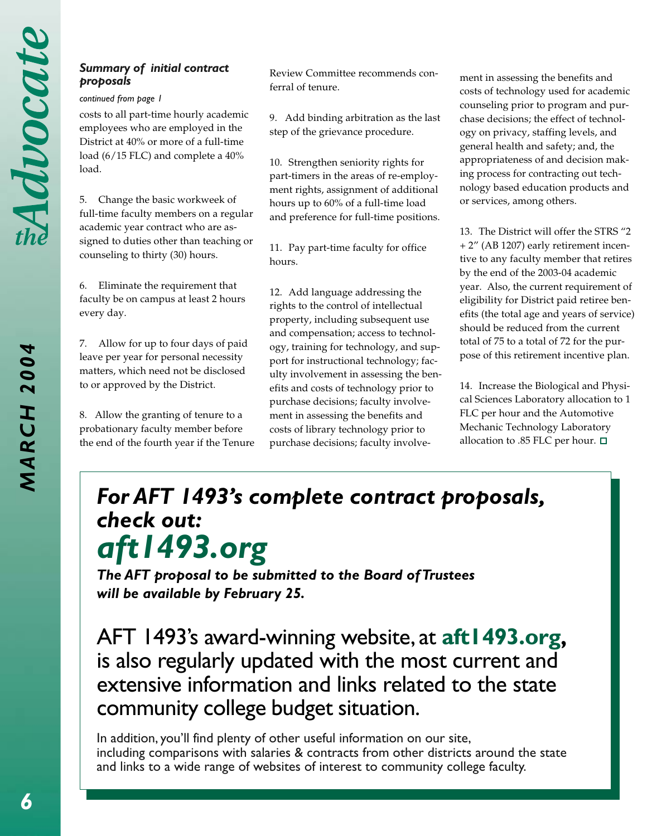# *Summary of initial contract*

#### *continued from page 1*

costs to all part-time hourly academic employees who are employed in the District at 40% or more of a full-time load (6/15 FLC) and complete a 40% load.

5. Change the basic workweek of full-time faculty members on a regular academic year contract who are assigned to duties other than teaching or counseling to thirty (30) hours.

6. Eliminate the requirement that faculty be on campus at least 2 hours every day.

7. Allow for up to four days of paid leave per year for personal necessity matters, which need not be disclosed to or approved by the District.

8. Allow the granting of tenure to a probationary faculty member before the end of the fourth year if the Tenure

Review Committee recommends conferral of tenure. **proposals proposals proposals proposals neutring terms** to the terms of tenure **comments** contract ment in assessing the benefits and

> 9. Add binding arbitration as the last step of the grievance procedure.

> 10. Strengthen seniority rights for part-timers in the areas of re-employment rights, assignment of additional hours up to 60% of a full-time load and preference for full-time positions.

11. Pay part-time faculty for office hours.

12. Add language addressing the rights to the control of intellectual property, including subsequent use and compensation; access to technology, training for technology, and support for instructional technology; faculty involvement in assessing the benefits and costs of technology prior to purchase decisions; faculty involvement in assessing the benefits and costs of library technology prior to purchase decisions; faculty involvecosts of technology used for academic counseling prior to program and purchase decisions; the effect of technology on privacy, staffing levels, and general health and safety; and, the appropriateness of and decision making process for contracting out technology based education products and or services, among others.

13. The District will offer the STRS "2 + 2" (AB 1207) early retirement incentive to any faculty member that retires by the end of the 2003-04 academic year. Also, the current requirement of eligibility for District paid retiree benefits (the total age and years of service) should be reduced from the current total of 75 to a total of 72 for the purpose of this retirement incentive plan.

14. Increase the Biological and Physical Sciences Laboratory allocation to 1 FLC per hour and the Automotive Mechanic Technology Laboratory allocation to .85 FLC per hour.  $\square$ 

# *For AFT 1493's complete contract proposals, check out: aft1493.org*

*The AFT proposal to be submitted to the Board of Trustees will be available by February 25.*

AFT 1493's award-winning website, at **aft1493.org**, is also regularly updated with the most current and extensive information and links related to the state community college budget situation.

In addition, you'll find plenty of other useful information on our site, including comparisons with salaries & contracts from other districts around the state and links to a wide range of websites of interest to community college faculty.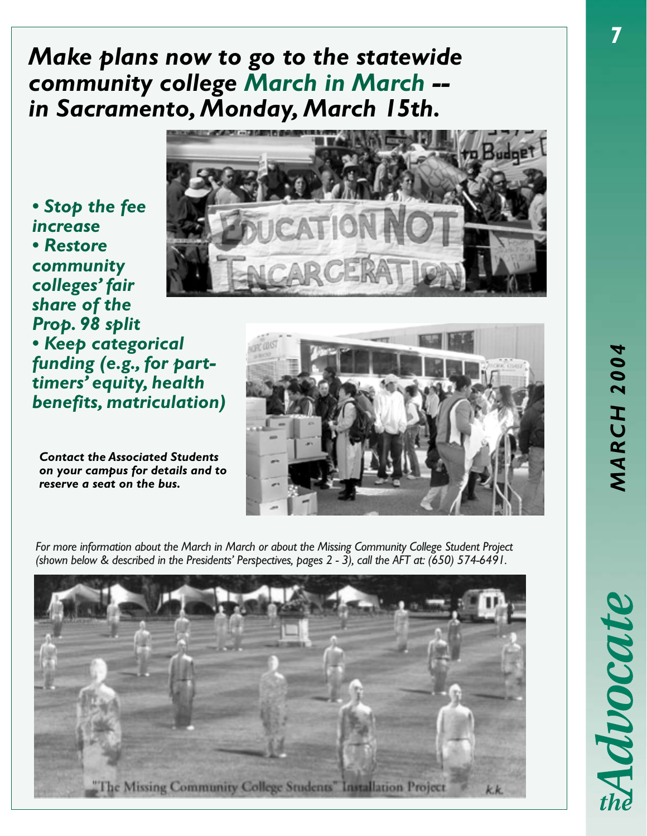# *Make plans now to go to the statewide community college March in March - in Sacramento, Monday, March 15th.*

*• Stop the fee increase • Restore community colleges' fair share of the Prop. 98 split • Keep categorical funding (e.g., for parttimers' equity, health benefits, matriculation)*

*Contact the Associated Students on your campus for details and to reserve a seat on the bus.*





*For more information about the March in March or about the Missing Community College Student Project (shown below & described in the Presidents' Perspectives, pages 2 - 3), call the AFT at: (650) 574-6491.*